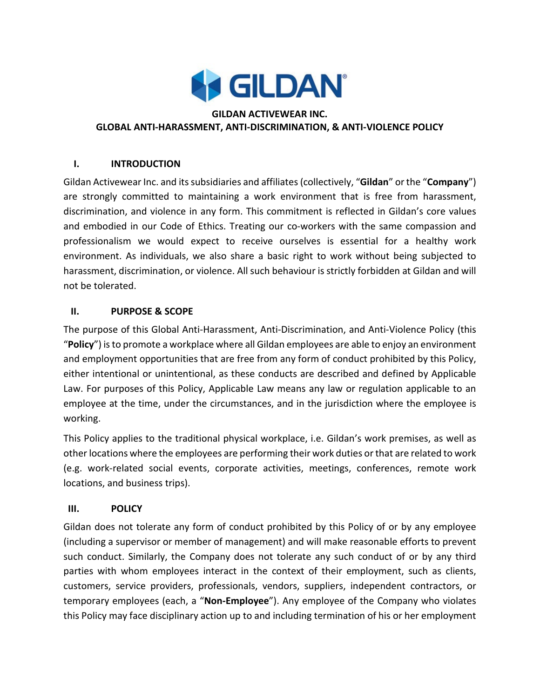

#### **GILDAN ACTIVEWEAR INC. GLOBAL ANTI-HARASSMENT, ANTI-DISCRIMINATION, & ANTI-VIOLENCE POLICY**

#### **I. INTRODUCTION**

Gildan Activewear Inc. and its subsidiaries and affiliates (collectively, "**Gildan**" or the "**Company**") are strongly committed to maintaining a work environment that is free from harassment, discrimination, and violence in any form. This commitment is reflected in Gildan's core values and embodied in our Code of Ethics. Treating our co-workers with the same compassion and professionalism we would expect to receive ourselves is essential for a healthy work environment. As individuals, we also share a basic right to work without being subjected to harassment, discrimination, or violence. All such behaviour is strictly forbidden at Gildan and will not be tolerated.

#### **II. PURPOSE & SCOPE**

The purpose of this Global Anti-Harassment, Anti-Discrimination, and Anti-Violence Policy (this "**Policy**") is to promote a workplace where all Gildan employees are able to enjoy an environment and employment opportunities that are free from any form of conduct prohibited by this Policy, either intentional or unintentional, as these conducts are described and defined by Applicable Law. For purposes of this Policy, Applicable Law means any law or regulation applicable to an employee at the time, under the circumstances, and in the jurisdiction where the employee is working.

This Policy applies to the traditional physical workplace, i.e. Gildan's work premises, as well as other locations where the employees are performing their work duties or that are related to work (e.g. work-related social events, corporate activities, meetings, conferences, remote work locations, and business trips).

## **III. POLICY**

Gildan does not tolerate any form of conduct prohibited by this Policy of or by any employee (including a supervisor or member of management) and will make reasonable efforts to prevent such conduct. Similarly, the Company does not tolerate any such conduct of or by any third parties with whom employees interact in the context of their employment, such as clients, customers, service providers, professionals, vendors, suppliers, independent contractors, or temporary employees (each, a "**Non-Employee**"). Any employee of the Company who violates this Policy may face disciplinary action up to and including termination of his or her employment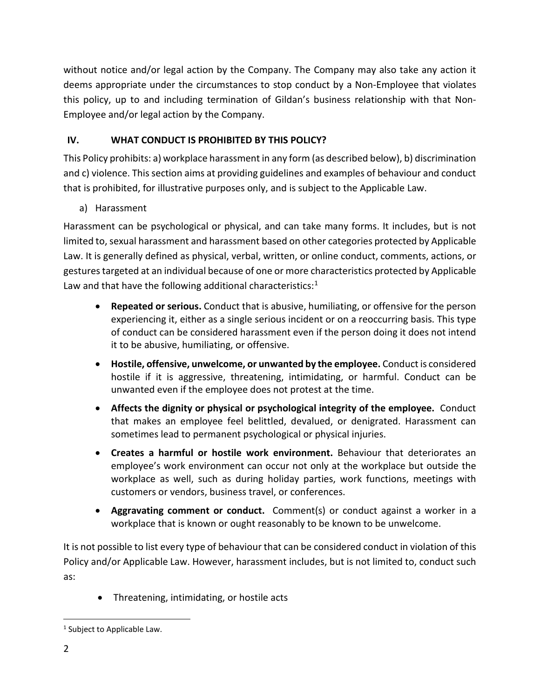without notice and/or legal action by the Company. The Company may also take any action it deems appropriate under the circumstances to stop conduct by a Non-Employee that violates this policy, up to and including termination of Gildan's business relationship with that Non-Employee and/or legal action by the Company.

## **IV. WHAT CONDUCT IS PROHIBITED BY THIS POLICY?**

This Policy prohibits: a) workplace harassment in any form (as described below), b) discrimination and c) violence. This section aims at providing guidelines and examples of behaviour and conduct that is prohibited, for illustrative purposes only, and is subject to the Applicable Law.

a) Harassment

Harassment can be psychological or physical, and can take many forms. It includes, but is not limited to, sexual harassment and harassment based on other categories protected by Applicable Law. It is generally defined as physical, verbal, written, or online conduct, comments, actions, or gestures targeted at an individual because of one or more characteristics protected by Applicable Law and that have the following additional characteristics: $1$ 

- **Repeated or serious.** Conduct that is abusive, humiliating, or offensive for the person experiencing it, either as a single serious incident or on a reoccurring basis. This type of conduct can be considered harassment even if the person doing it does not intend it to be abusive, humiliating, or offensive.
- **Hostile, offensive, unwelcome, or unwanted by the employee.** Conduct is considered hostile if it is aggressive, threatening, intimidating, or harmful. Conduct can be unwanted even if the employee does not protest at the time.
- **Affects the dignity or physical or psychological integrity of the employee.** Conduct that makes an employee feel belittled, devalued, or denigrated. Harassment can sometimes lead to permanent psychological or physical injuries.
- **Creates a harmful or hostile work environment.** Behaviour that deteriorates an employee's work environment can occur not only at the workplace but outside the workplace as well, such as during holiday parties, work functions, meetings with customers or vendors, business travel, or conferences.
- **Aggravating comment or conduct.** Comment(s) or conduct against a worker in a workplace that is known or ought reasonably to be known to be unwelcome.

It is not possible to list every type of behaviour that can be considered conduct in violation of this Policy and/or Applicable Law. However, harassment includes, but is not limited to, conduct such as:

• Threatening, intimidating, or hostile acts

<span id="page-1-0"></span><sup>&</sup>lt;sup>1</sup> Subject to Applicable Law.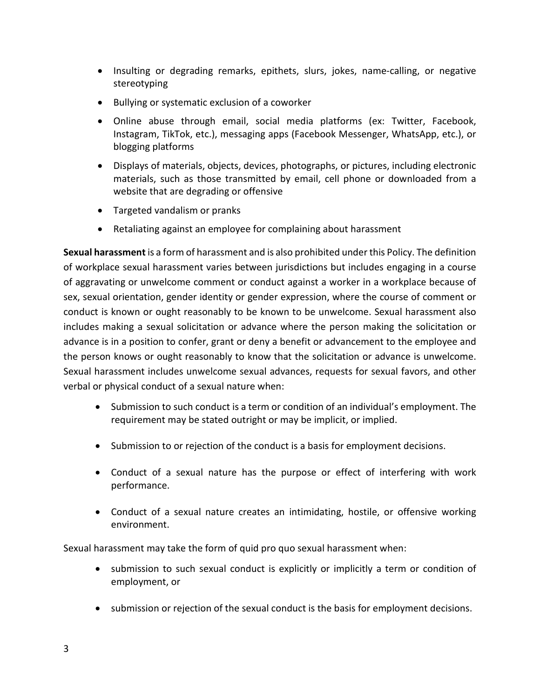- Insulting or degrading remarks, epithets, slurs, jokes, name-calling, or negative stereotyping
- Bullying or systematic exclusion of a coworker
- Online abuse through email, social media platforms (ex: Twitter, Facebook, Instagram, TikTok, etc.), messaging apps (Facebook Messenger, WhatsApp, etc.), or blogging platforms
- Displays of materials, objects, devices, photographs, or pictures, including electronic materials, such as those transmitted by email, cell phone or downloaded from a website that are degrading or offensive
- Targeted vandalism or pranks
- Retaliating against an employee for complaining about harassment

**Sexual harassment** is a form of harassment and is also prohibited under this Policy. The definition of workplace sexual harassment varies between jurisdictions but includes engaging in a course of aggravating or unwelcome comment or conduct against a worker in a workplace because of sex, sexual orientation, gender identity or gender expression, where the course of comment or conduct is known or ought reasonably to be known to be unwelcome. Sexual harassment also includes making a sexual solicitation or advance where the person making the solicitation or advance is in a position to confer, grant or deny a benefit or advancement to the employee and the person knows or ought reasonably to know that the solicitation or advance is unwelcome. Sexual harassment includes unwelcome sexual advances, requests for sexual favors, and other verbal or physical conduct of a sexual nature when:

- Submission to such conduct is a term or condition of an individual's employment. The requirement may be stated outright or may be implicit, or implied.
- Submission to or rejection of the conduct is a basis for employment decisions.
- Conduct of a sexual nature has the purpose or effect of interfering with work performance.
- Conduct of a sexual nature creates an intimidating, hostile, or offensive working environment.

Sexual harassment may take the form of quid pro quo sexual harassment when:

- submission to such sexual conduct is explicitly or implicitly a term or condition of employment, or
- submission or rejection of the sexual conduct is the basis for employment decisions.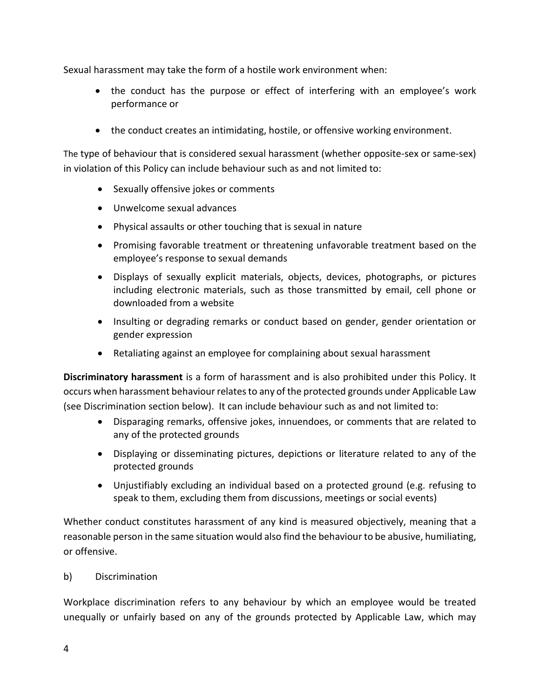Sexual harassment may take the form of a hostile work environment when:

- the conduct has the purpose or effect of interfering with an employee's work performance or
- the conduct creates an intimidating, hostile, or offensive working environment.

The type of behaviour that is considered sexual harassment (whether opposite-sex or same-sex) in violation of this Policy can include behaviour such as and not limited to:

- Sexually offensive jokes or comments
- Unwelcome sexual advances
- Physical assaults or other touching that is sexual in nature
- Promising favorable treatment or threatening unfavorable treatment based on the employee's response to sexual demands
- Displays of sexually explicit materials, objects, devices, photographs, or pictures including electronic materials, such as those transmitted by email, cell phone or downloaded from a website
- Insulting or degrading remarks or conduct based on gender, gender orientation or gender expression
- Retaliating against an employee for complaining about sexual harassment

**Discriminatory harassment** is a form of harassment and is also prohibited under this Policy. It occurs when harassment behaviour relates to any of the protected grounds under Applicable Law (see Discrimination section below). It can include behaviour such as and not limited to:

- Disparaging remarks, offensive jokes, innuendoes, or comments that are related to any of the protected grounds
- Displaying or disseminating pictures, depictions or literature related to any of the protected grounds
- Unjustifiably excluding an individual based on a protected ground (e.g. refusing to speak to them, excluding them from discussions, meetings or social events)

Whether conduct constitutes harassment of any kind is measured objectively, meaning that a reasonable person in the same situation would also find the behaviour to be abusive, humiliating, or offensive.

#### b) Discrimination

Workplace discrimination refers to any behaviour by which an employee would be treated unequally or unfairly based on any of the grounds protected by Applicable Law, which may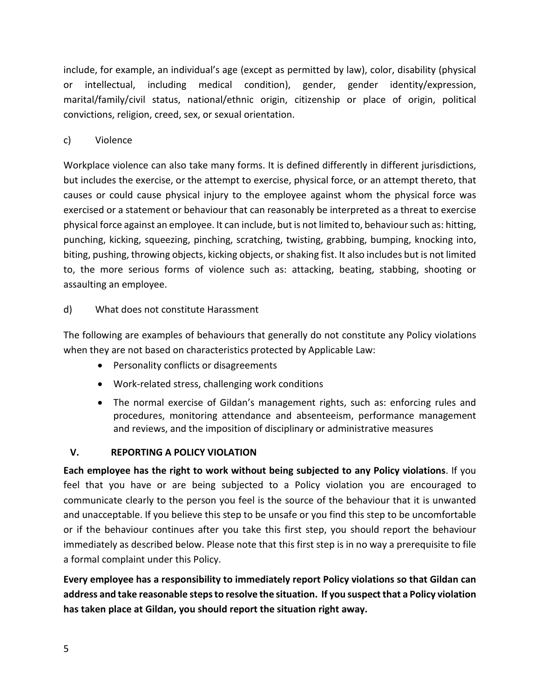include, for example, an individual's age (except as permitted by law), color, disability (physical or intellectual, including medical condition), gender, gender identity/expression, marital/family/civil status, national/ethnic origin, citizenship or place of origin, political convictions, religion, creed, sex, or sexual orientation.

## c) Violence

Workplace violence can also take many forms. It is defined differently in different jurisdictions, but includes the exercise, or the attempt to exercise, physical force, or an attempt thereto, that causes or could cause physical injury to the employee against whom the physical force was exercised or a statement or behaviour that can reasonably be interpreted as a threat to exercise physical force against an employee. It can include, but is not limited to, behaviour such as: hitting, punching, kicking, squeezing, pinching, scratching, twisting, grabbing, bumping, knocking into, biting, pushing, throwing objects, kicking objects, or shaking fist. It also includes but is not limited to, the more serious forms of violence such as: attacking, beating, stabbing, shooting or assaulting an employee.

## d) What does not constitute Harassment

The following are examples of behaviours that generally do not constitute any Policy violations when they are not based on characteristics protected by Applicable Law:

- Personality conflicts or disagreements
- Work-related stress, challenging work conditions
- The normal exercise of Gildan's management rights, such as: enforcing rules and procedures, monitoring attendance and absenteeism, performance management and reviews, and the imposition of disciplinary or administrative measures

## **V. REPORTING A POLICY VIOLATION**

**Each employee has the right to work without being subjected to any Policy violations**. If you feel that you have or are being subjected to a Policy violation you are encouraged to communicate clearly to the person you feel is the source of the behaviour that it is unwanted and unacceptable. If you believe this step to be unsafe or you find this step to be uncomfortable or if the behaviour continues after you take this first step, you should report the behaviour immediately as described below. Please note that this first step is in no way a prerequisite to file a formal complaint under this Policy.

**Every employee has a responsibility to immediately report Policy violations so that Gildan can address and take reasonable stepsto resolve the situation. If you suspect that a Policy violation has taken place at Gildan, you should report the situation right away.**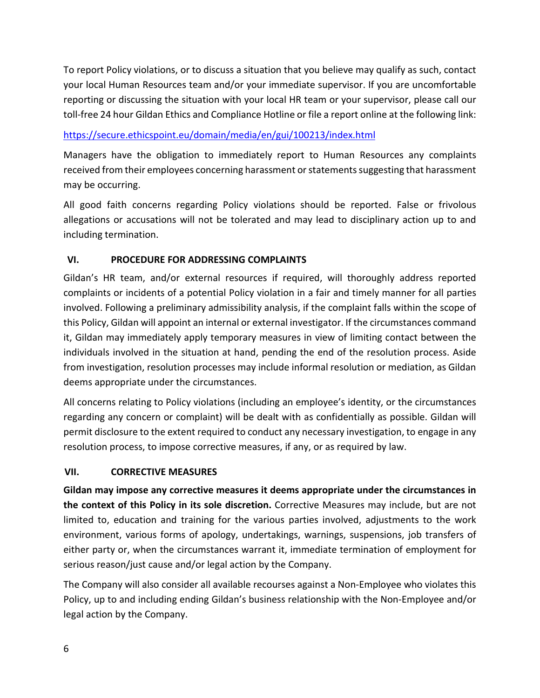To report Policy violations, or to discuss a situation that you believe may qualify as such, contact your local Human Resources team and/or your immediate supervisor. If you are uncomfortable reporting or discussing the situation with your local HR team or your supervisor, please call our toll-free 24 hour Gildan Ethics and Compliance Hotline or file a report online at the following link:

## <https://secure.ethicspoint.eu/domain/media/en/gui/100213/index.html>

Managers have the obligation to immediately report to Human Resources any complaints received from their employees concerning harassment or statements suggesting that harassment may be occurring.

All good faith concerns regarding Policy violations should be reported. False or frivolous allegations or accusations will not be tolerated and may lead to disciplinary action up to and including termination.

## **VI. PROCEDURE FOR ADDRESSING COMPLAINTS**

Gildan's HR team, and/or external resources if required, will thoroughly address reported complaints or incidents of a potential Policy violation in a fair and timely manner for all parties involved. Following a preliminary admissibility analysis, if the complaint falls within the scope of this Policy, Gildan will appoint an internal or external investigator. If the circumstances command it, Gildan may immediately apply temporary measures in view of limiting contact between the individuals involved in the situation at hand, pending the end of the resolution process. Aside from investigation, resolution processes may include informal resolution or mediation, as Gildan deems appropriate under the circumstances.

All concerns relating to Policy violations (including an employee's identity, or the circumstances regarding any concern or complaint) will be dealt with as confidentially as possible. Gildan will permit disclosure to the extent required to conduct any necessary investigation, to engage in any resolution process, to impose corrective measures, if any, or as required by law.

## **VII. CORRECTIVE MEASURES**

**Gildan may impose any corrective measures it deems appropriate under the circumstances in the context of this Policy in its sole discretion.** Corrective Measures may include, but are not limited to, education and training for the various parties involved, adjustments to the work environment, various forms of apology, undertakings, warnings, suspensions, job transfers of either party or, when the circumstances warrant it, immediate termination of employment for serious reason/just cause and/or legal action by the Company.

The Company will also consider all available recourses against a Non-Employee who violates this Policy, up to and including ending Gildan's business relationship with the Non-Employee and/or legal action by the Company.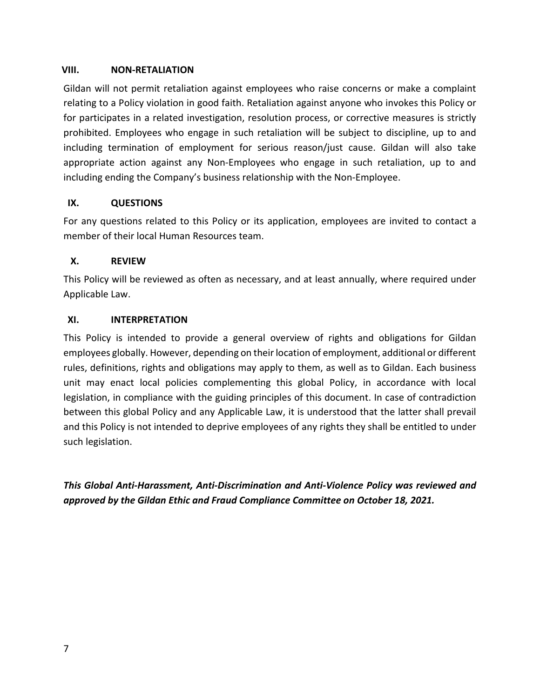#### **VIII. NON-RETALIATION**

Gildan will not permit retaliation against employees who raise concerns or make a complaint relating to a Policy violation in good faith. Retaliation against anyone who invokes this Policy or for participates in a related investigation, resolution process, or corrective measures is strictly prohibited. Employees who engage in such retaliation will be subject to discipline, up to and including termination of employment for serious reason/just cause. Gildan will also take appropriate action against any Non-Employees who engage in such retaliation, up to and including ending the Company's business relationship with the Non-Employee.

## **IX. QUESTIONS**

For any questions related to this Policy or its application, employees are invited to contact a member of their local Human Resources team.

## **X. REVIEW**

This Policy will be reviewed as often as necessary, and at least annually, where required under Applicable Law.

## **XI. INTERPRETATION**

This Policy is intended to provide a general overview of rights and obligations for Gildan employees globally. However, depending on their location of employment, additional or different rules, definitions, rights and obligations may apply to them, as well as to Gildan. Each business unit may enact local policies complementing this global Policy, in accordance with local legislation, in compliance with the guiding principles of this document. In case of contradiction between this global Policy and any Applicable Law, it is understood that the latter shall prevail and this Policy is not intended to deprive employees of any rights they shall be entitled to under such legislation.

*This Global Anti-Harassment, Anti-Discrimination and Anti-Violence Policy was reviewed and approved by the Gildan Ethic and Fraud Compliance Committee on October 18, 2021.*